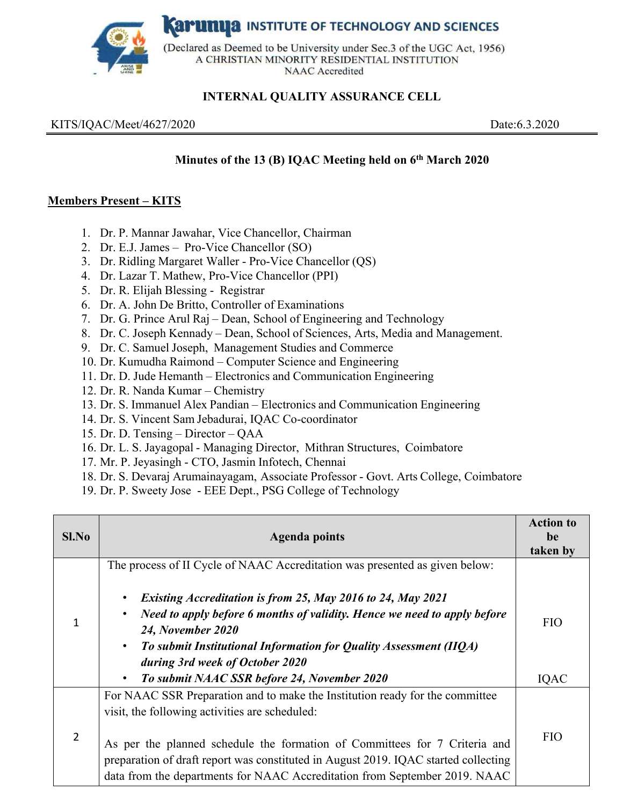**Karumya** INSTITUTE OF TECHNOLOGY AND SCIENCES



(Declared as Deemed to be University under Sec.3 of the UGC Act, 1956) A CHRISTIAN MINORITY RESIDENTIAL INSTITUTION **NAAC** Accredited

## **INTERNAL QUALITY ASSURANCE CELL**

KITS/IQAC/Meet/4627/2020Date:6.3.2020

### **Minutes of the 13 (B) IQAC Meeting held on 6th March 2020**

### **Members Present – KITS**

- 1. Dr. P. Mannar Jawahar, Vice Chancellor, Chairman
- 2. Dr. E.J. James Pro-Vice Chancellor (SO)
- 3. Dr. Ridling Margaret Waller Pro-Vice Chancellor (QS)
- 4. Dr. Lazar T. Mathew, Pro-Vice Chancellor (PPI)
- 5. Dr. R. Elijah Blessing Registrar
- 6. Dr. A. John De Britto, Controller of Examinations
- 7. Dr. G. Prince Arul Raj Dean, School of Engineering and Technology
- 8. Dr. C. Joseph Kennady Dean, School of Sciences, Arts, Media and Management.
- 9. Dr. C. Samuel Joseph, Management Studies and Commerce
- 10. Dr. Kumudha Raimond Computer Science and Engineering
- 11. Dr. D. Jude Hemanth Electronics and Communication Engineering
- 12. Dr. R. Nanda Kumar Chemistry
- 13. Dr. S. Immanuel Alex Pandian Electronics and Communication Engineering
- 14. Dr. S. Vincent Sam Jebadurai, IQAC Co-coordinator
- 15. Dr. D. Tensing Director QAA
- 16. Dr. L. S. Jayagopal Managing Director, Mithran Structures, Coimbatore
- 17. Mr. P. Jeyasingh CTO, Jasmin Infotech, Chennai
- 18. Dr. S. Devaraj Arumainayagam, Associate Professor Govt. Arts College, Coimbatore
- 19. Dr. P. Sweety Jose EEE Dept., PSG College of Technology

| Sl.No          | <b>Agenda points</b>                                                                                                                                                                                                                            | <b>Action to</b><br>be<br>taken by |
|----------------|-------------------------------------------------------------------------------------------------------------------------------------------------------------------------------------------------------------------------------------------------|------------------------------------|
|                | The process of II Cycle of NAAC Accreditation was presented as given below:                                                                                                                                                                     |                                    |
|                | Existing Accreditation is from 25, May 2016 to 24, May 2021<br>Need to apply before 6 months of validity. Hence we need to apply before<br>24, November 2020                                                                                    | <b>FIO</b>                         |
|                | To submit Institutional Information for Quality Assessment (IIQA)<br>$\bullet$<br>during 3rd week of October 2020<br>To submit NAAC SSR before 24, November 2020<br>$\bullet$                                                                   | IQAC                               |
|                | For NAAC SSR Preparation and to make the Institution ready for the committee<br>visit, the following activities are scheduled:                                                                                                                  |                                    |
| $\overline{2}$ | As per the planned schedule the formation of Committees for 7 Criteria and<br>preparation of draft report was constituted in August 2019. IQAC started collecting<br>data from the departments for NAAC Accreditation from September 2019. NAAC | <b>FIO</b>                         |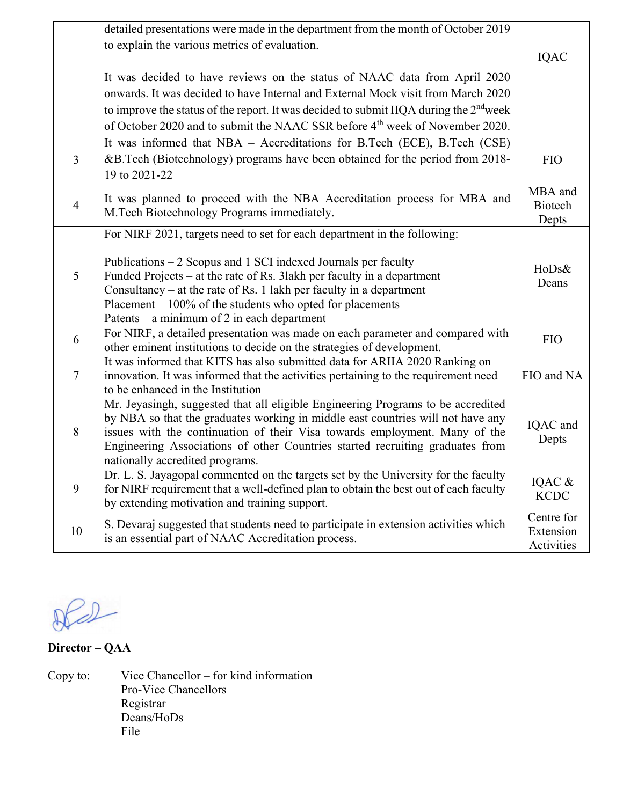|                | detailed presentations were made in the department from the month of October 2019<br>to explain the various metrics of evaluation.                          |                |
|----------------|-------------------------------------------------------------------------------------------------------------------------------------------------------------|----------------|
|                |                                                                                                                                                             | <b>IQAC</b>    |
|                | It was decided to have reviews on the status of NAAC data from April 2020                                                                                   |                |
|                | onwards. It was decided to have Internal and External Mock visit from March 2020                                                                            |                |
|                | to improve the status of the report. It was decided to submit IIQA during the 2 <sup>nd</sup> week                                                          |                |
|                | of October 2020 and to submit the NAAC SSR before 4 <sup>th</sup> week of November 2020.                                                                    |                |
|                | It was informed that NBA - Accreditations for B.Tech (ECE), B.Tech (CSE)                                                                                    |                |
| $\overline{3}$ | &B.Tech (Biotechnology) programs have been obtained for the period from 2018-                                                                               | <b>FIO</b>     |
|                | 19 to 2021-22                                                                                                                                               |                |
|                | It was planned to proceed with the NBA Accreditation process for MBA and                                                                                    | MBA and        |
| $\overline{4}$ | M. Tech Biotechnology Programs immediately.                                                                                                                 | <b>Biotech</b> |
|                |                                                                                                                                                             | Depts          |
|                | For NIRF 2021, targets need to set for each department in the following:                                                                                    |                |
|                | Publications – 2 Scopus and 1 SCI indexed Journals per faculty                                                                                              |                |
| 5              | Funded Projects – at the rate of Rs. 31akh per faculty in a department                                                                                      | HoDs&          |
|                | Consultancy – at the rate of Rs. 1 lakh per faculty in a department                                                                                         | Deans          |
|                | Placement $-100\%$ of the students who opted for placements                                                                                                 |                |
|                | Patents – a minimum of 2 in each department                                                                                                                 |                |
| 6              | For NIRF, a detailed presentation was made on each parameter and compared with                                                                              | <b>FIO</b>     |
|                | other eminent institutions to decide on the strategies of development.                                                                                      |                |
|                | It was informed that KITS has also submitted data for ARIIA 2020 Ranking on                                                                                 |                |
| $\overline{7}$ | innovation. It was informed that the activities pertaining to the requirement need                                                                          | FIO and NA     |
|                | to be enhanced in the Institution                                                                                                                           |                |
|                | Mr. Jeyasingh, suggested that all eligible Engineering Programs to be accredited                                                                            |                |
| 8              | by NBA so that the graduates working in middle east countries will not have any                                                                             | IQAC and       |
|                | issues with the continuation of their Visa towards employment. Many of the<br>Engineering Associations of other Countries started recruiting graduates from | Depts          |
|                | nationally accredited programs.                                                                                                                             |                |
|                | Dr. L. S. Jayagopal commented on the targets set by the University for the faculty                                                                          |                |
| 9              | for NIRF requirement that a well-defined plan to obtain the best out of each faculty                                                                        | IQAC &         |
|                | by extending motivation and training support.                                                                                                               | <b>KCDC</b>    |
|                | S. Devaraj suggested that students need to participate in extension activities which                                                                        | Centre for     |
| 10             | is an essential part of NAAC Accreditation process.                                                                                                         | Extension      |
|                |                                                                                                                                                             | Activities     |

 $DQ$ 

**Director – QAA** 

Copy to: Vice Chancellor – for kind information Pro-Vice Chancellors Registrar Deans/HoDs File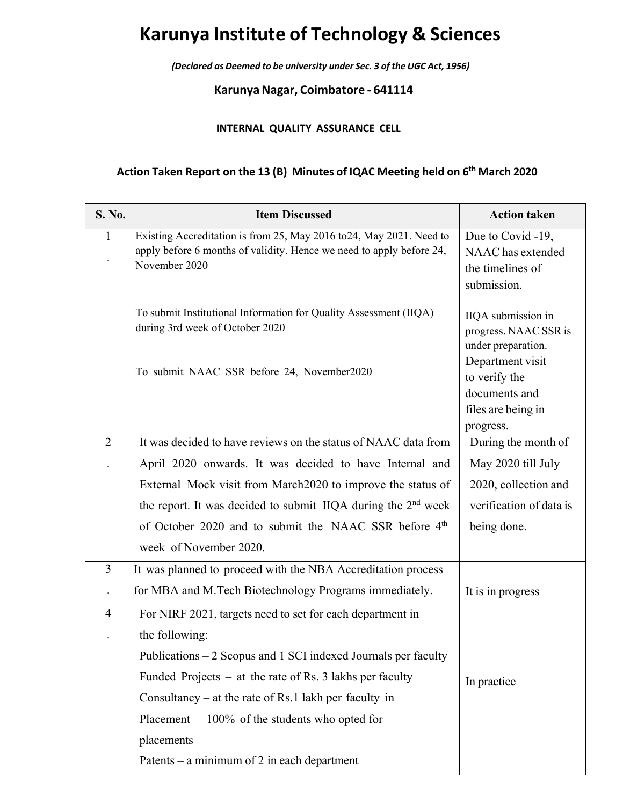# **Karunya Institute of Technology & Sciences**

*(Declared as Deemed to be university under Sec. 3 of the UGC Act, 1956)*

**KarunyaNagar, Coimbatore ‐ 641114**

#### **INTERNAL QUALITY ASSURANCE CELL**

## **Action Taken Report on the 13 (B) Minutes of IQAC Meeting held on 6th March 2020**

| S. No.         | <b>Item Discussed</b>                                                     | <b>Action taken</b>                 |
|----------------|---------------------------------------------------------------------------|-------------------------------------|
| $\mathbf{1}$   | Existing Accreditation is from 25, May 2016 to 24, May 2021. Need to      | Due to Covid -19,                   |
|                | apply before 6 months of validity. Hence we need to apply before 24,      | NAAC has extended                   |
|                | November 2020                                                             | the timelines of                    |
|                |                                                                           | submission.                         |
|                | To submit Institutional Information for Quality Assessment (IIQA)         | IIQA submission in                  |
|                | during 3rd week of October 2020                                           | progress. NAAC SSR is               |
|                |                                                                           | under preparation.                  |
|                | To submit NAAC SSR before 24, November2020                                | Department visit                    |
|                |                                                                           | to verify the                       |
|                |                                                                           | documents and<br>files are being in |
|                |                                                                           | progress.                           |
| $\overline{2}$ | It was decided to have reviews on the status of NAAC data from            | During the month of                 |
|                | April 2020 onwards. It was decided to have Internal and                   | May 2020 till July                  |
|                | External Mock visit from March 2020 to improve the status of              | 2020, collection and                |
|                | the report. It was decided to submit IIQA during the 2 <sup>nd</sup> week | verification of data is             |
|                | of October 2020 and to submit the NAAC SSR before 4 <sup>th</sup>         | being done.                         |
|                | week of November 2020.                                                    |                                     |
| $\overline{3}$ | It was planned to proceed with the NBA Accreditation process              |                                     |
|                | for MBA and M.Tech Biotechnology Programs immediately.                    | It is in progress                   |
| $\overline{4}$ | For NIRF 2021, targets need to set for each department in                 |                                     |
|                | the following:                                                            |                                     |
|                | Publications – 2 Scopus and 1 SCI indexed Journals per faculty            |                                     |
|                | Funded Projects $-$ at the rate of Rs. 3 lakhs per faculty                | In practice                         |
|                | Consultancy – at the rate of Rs.1 lakh per faculty in                     |                                     |
|                | Placement $-100\%$ of the students who opted for                          |                                     |
|                | placements                                                                |                                     |
|                | Patents – a minimum of 2 in each department                               |                                     |